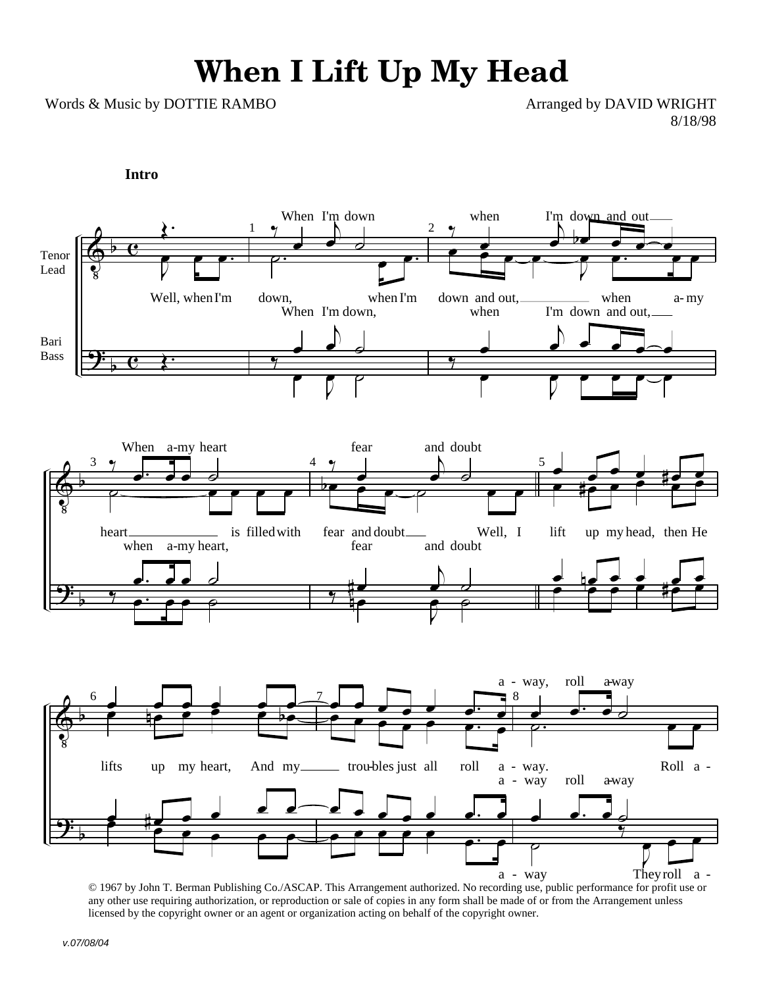## **When I Lift Up My Head**

Words & Music by DOTTIE RAMBO Arranged by DAVID WRIGHT

8/18/98

**Intro**



© 1967 by John T. Berman Publishing Co./ASCAP. This Arrangement authorized. No recording use, public performance for profit use or any other use requiring authorization, or reproduction or sale of copies in any form shall be made of or from the Arrangement unless licensed by the copyright owner or an agent or organization acting on behalf of the copyright owner.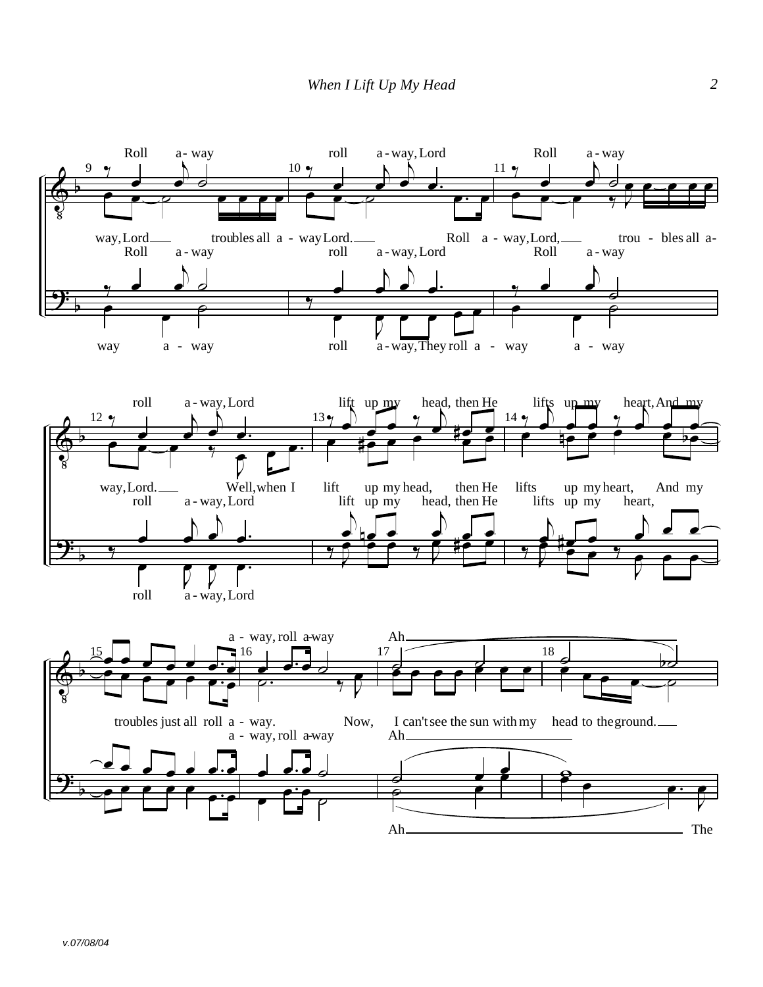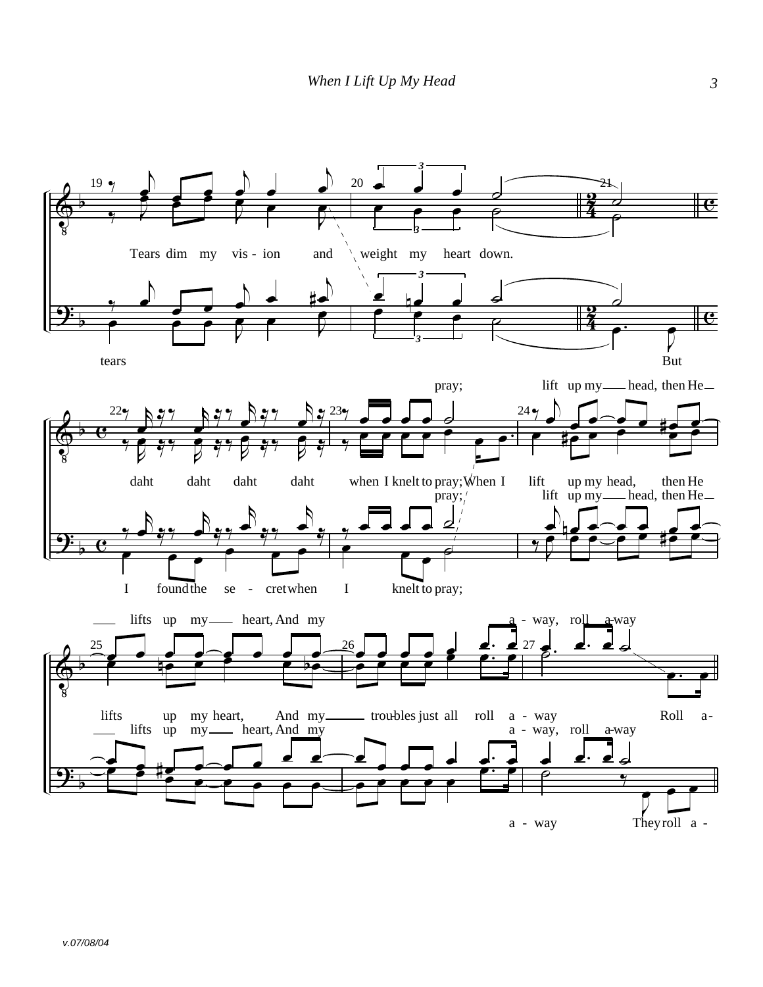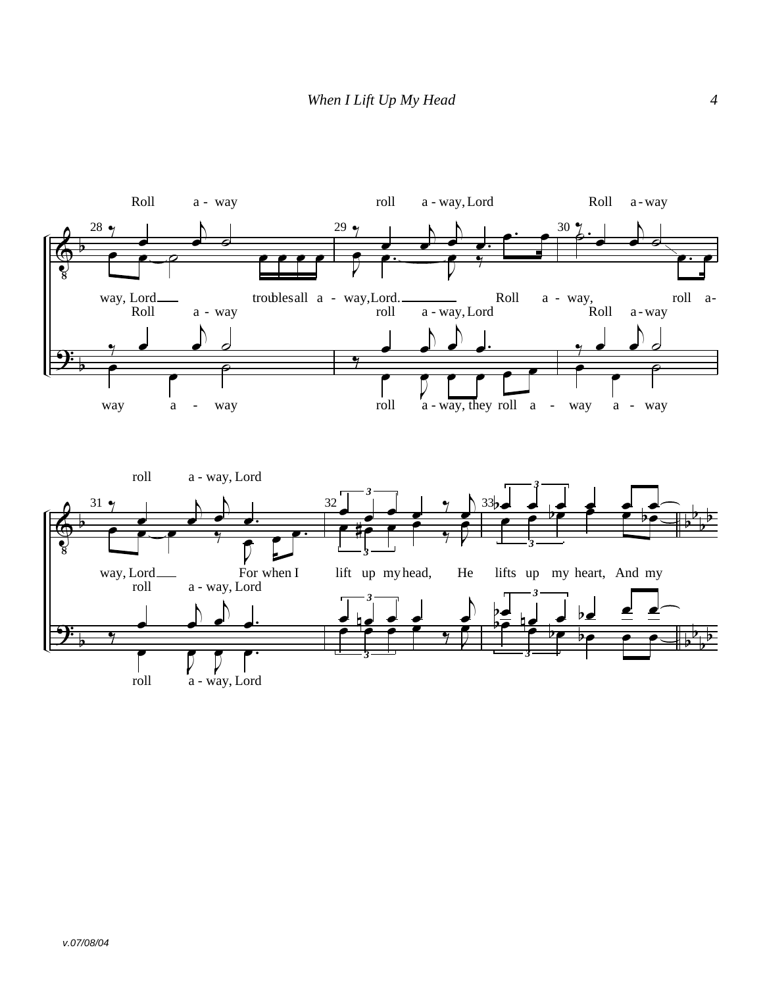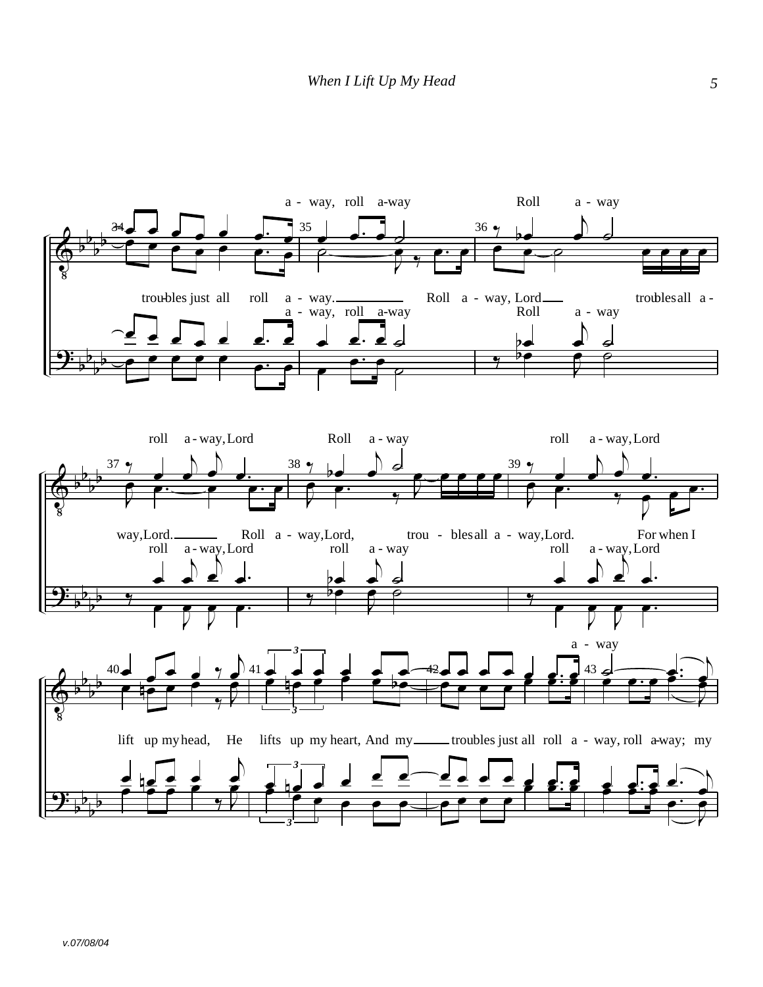